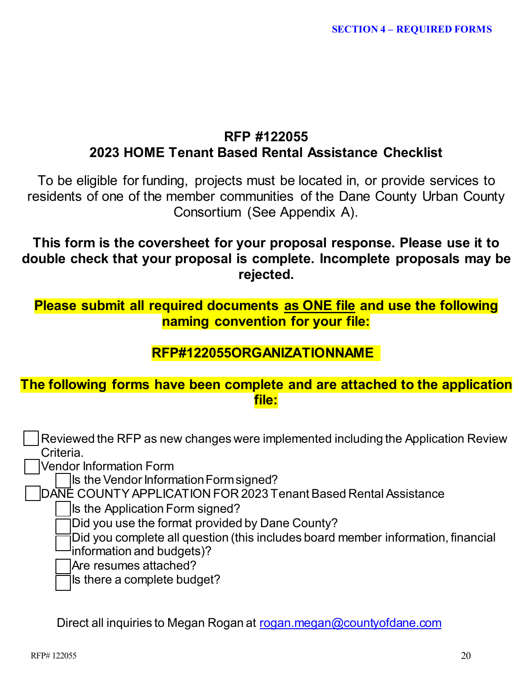# **RFP #122055 2023 HOME Tenant Based Rental Assistance Checklist**

To be eligible for funding, projects must be located in, or provide services to residents of one of the member communities of the Dane County Urban County Consortium (See Appendix A).

**This form is the coversheet for your proposal response. Please use it to double check that your proposal is complete. Incomplete proposals may be rejected.**

# **Please submit all required documents as ONE file and use the following naming convention for your file:**

# **RFP#122055ORGANIZATIONNAME**

# **The following forms have been complete and are attached to the application file:**

 Reviewed the RFP as new changes were implemented including the Application Review Criteria.

Vendor Information Form

Is the Vendor Information Form signed?

DANE COUNTY APPLICATION FOR 2023 Tenant Based Rental Assistance

 $\vert$ Is the Application Form signed?

Did you use the format provided by Dane County?

 $\beta$ Did you complete all question (this includes board member information, financial <sup>l</sup>information and budgets)?

Are resumes attached?

 $\overline{\phantom{a}}$  is there a complete budget?

Direct all inquiries to Megan Rogan at [rogan.megan@countyofdane.com](mailto:rogan.megan@countyofdane.com)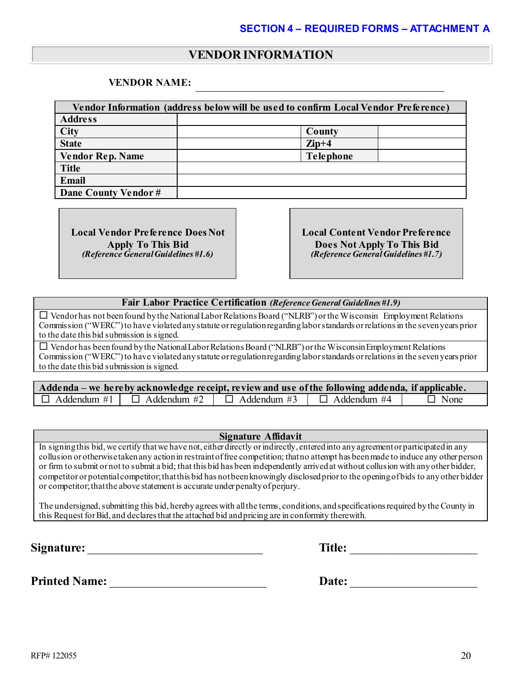# **VENDOR INFORMATION**

#### **VENDOR NAME:**

| Vendor Information (address below will be used to confirm Local Vendor Preference) |                  |  |  |  |  |  |
|------------------------------------------------------------------------------------|------------------|--|--|--|--|--|
| <b>Address</b>                                                                     |                  |  |  |  |  |  |
| <b>City</b>                                                                        | County           |  |  |  |  |  |
| <b>State</b>                                                                       | $\mathbf{Zip}+4$ |  |  |  |  |  |
| <b>Vendor Rep. Name</b>                                                            | <b>Telephone</b> |  |  |  |  |  |
| <b>Title</b>                                                                       |                  |  |  |  |  |  |
| <b>Email</b>                                                                       |                  |  |  |  |  |  |
| Dane County Vendor #                                                               |                  |  |  |  |  |  |

**Local Vendor Preference Does Not Apply To This Bid** *(Reference General Guidelines #1.6)*

**Local Content Vendor Preference Does Not Apply To This Bid** *(Reference General Guidelines #1.7)*

#### **Fair Labor Practice Certification** *(Reference General Guidelines #1.9)*

 $\square$  Vendor has not been found by the National Labor Relations Board ("NLRB") or the Wisconsin Employment Relations Commission ("WERC") to have violated any statute or regulation regarding labor standards or relations in the seven years prior to the date this bid submission is signed.

 $\square$  Vendor has been found by the National Labor Relations Board ("NLRB") or the Wisconsin Employment Relations Commission ("WERC") to have violated any statute or regulation regarding labor standards or relations in the seven years prior to the date this bid submission is signed.

| Addenda – we hereby acknowledge receipt, review and use of the following addenda, if applicable. |                                                          |  |                    |             |  |  |
|--------------------------------------------------------------------------------------------------|----------------------------------------------------------|--|--------------------|-------------|--|--|
|                                                                                                  | $\Box$ Addendum #1 $\Box$ Addendum #2 $\Box$ Addendum #3 |  | $\Box$ Addendum #4 | $\Box$ None |  |  |

#### **Signature Affidavit**

In signingthis bid, we certify that we have not, either directly or indirectly, entered into any agreement or participated in any collusion or otherwise taken any action in restraint of free competition; that no attempt has been made to induce any other person or firm to submit or not to submit a bid; that this bid has been independently arrived at without collusion with any other bidder, competitor or potential competitor; that this bid has not been knowingly disclosed prior to the opening of bids to any other bidder or competitor; that the above statement is accurate under penalty of perjury.

The undersigned, submitting this bid, hereby agrees with all the terms, conditions, and specifications required by the County in this Request for Bid, and declares that the attached bid and pricing are in conformity therewith.

**Signature:**  $\qquad \qquad$  **Title:**  $\qquad \qquad$ 

**Printed Name:** \_\_\_\_\_\_\_\_\_\_\_\_\_\_\_\_\_\_\_\_\_\_\_\_\_\_ **Date:** \_\_\_\_\_\_\_\_\_\_\_\_\_\_\_\_\_\_\_\_\_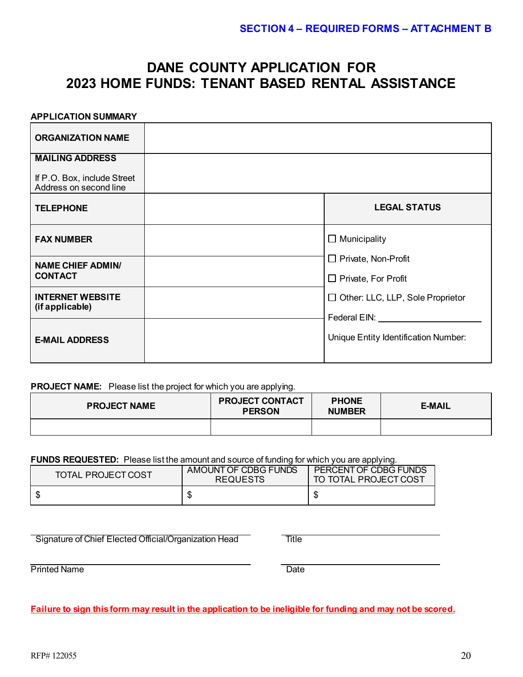# **DANE COUNTY APPLICATION FOR 2023 HOME FUNDS: TENANT BASED RENTAL ASSISTANCE**

#### **APPLICATION SUMMARY**

| <b>ORGANIZATION NAME</b>                                                        |                                                                 |
|---------------------------------------------------------------------------------|-----------------------------------------------------------------|
| <b>MAILING ADDRESS</b><br>If P.O. Box, include Street<br>Address on second line |                                                                 |
| <b>TELEPHONE</b>                                                                | <b>LEGAL STATUS</b>                                             |
| <b>FAX NUMBER</b>                                                               | $\Box$ Municipality                                             |
| <b>NAME CHIEF ADMIN/</b><br><b>CONTACT</b>                                      | □ Private, Non-Profit<br>$\Box$ Private, For Profit             |
| <b>INTERNET WEBSITE</b><br>(if applicable)                                      | $\Box$ Other: LLC, LLP, Sole Proprietor<br>Federal EIN: Federal |
| <b>E-MAIL ADDRESS</b>                                                           | Unique Entity Identification Number:                            |

#### **PROJECT NAME:** Please list the project for which you are applying.

| <b>PROJECT NAME</b> | <b>PROJECT CONTACT</b><br><b>PERSON</b> | <b>PHONE</b><br><b>NUMBER</b> | <b>E-MAIL</b> |
|---------------------|-----------------------------------------|-------------------------------|---------------|
|                     |                                         |                               |               |

#### **FUNDS REQUESTED:** Please list the amount and source of funding for which you are applying.

| <b>TOTAL PROJECT COST</b> | AMOUNT OF CDBG FUNDS<br><b>REQUESTS</b> | PERCENT OF CDBG FUNDS<br>TO TOTAL PROJECT COST |
|---------------------------|-----------------------------------------|------------------------------------------------|
|                           |                                         | S                                              |

**Signature of Chief Elected Official/Organization Head Title Title** 

Printed Name

**Failure to sign this form may result in the application to be ineligible for funding and may not be scored.**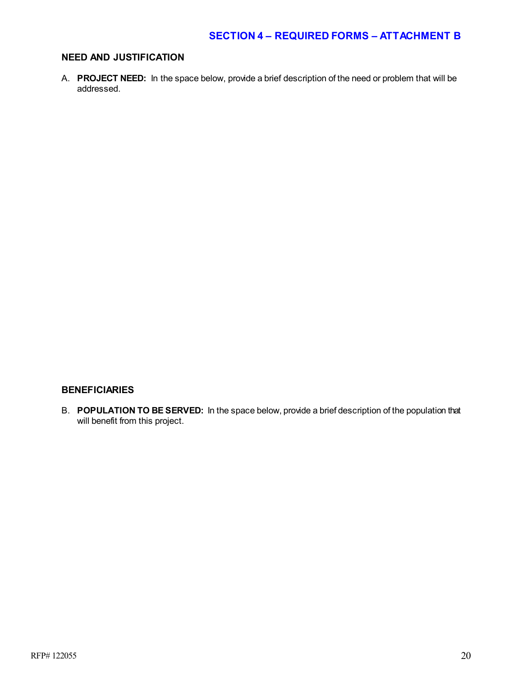### **NEED AND JUSTIFICATION**

A. **PROJECT NEED:** In the space below, provide a brief description of the need or problem that will be addressed.

### **BENEFICIARIES**

B. **POPULATION TO BE SERVED:** In the space below, provide a brief description of the population that will benefit from this project.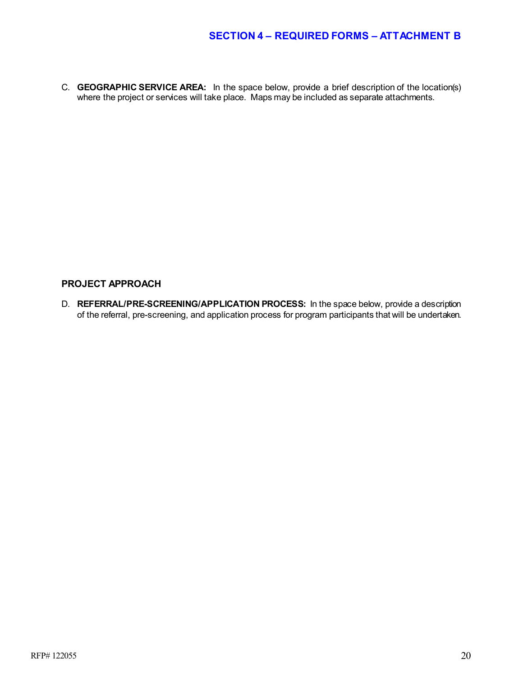C. **GEOGRAPHIC SERVICE AREA:** In the space below, provide a brief description of the location(s) where the project or services will take place. Maps may be included as separate attachments.

### **PROJECT APPROACH**

D. **REFERRAL/PRE-SCREENING/APPLICATION PROCESS:** In the space below, provide a description of the referral, pre-screening, and application process for program participants that will be undertaken.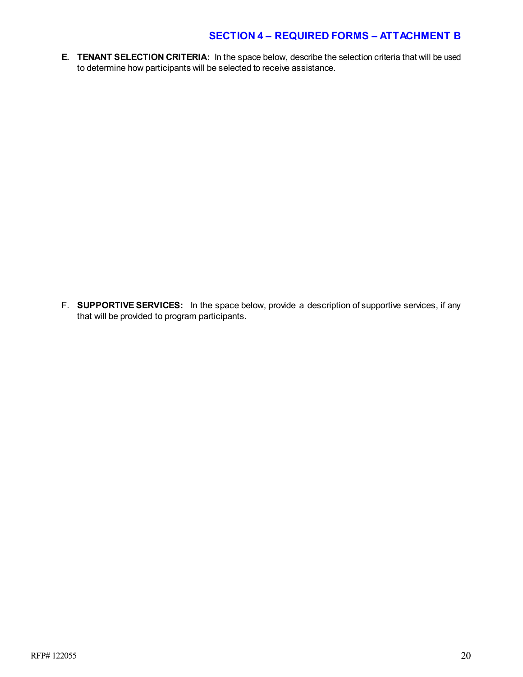**E. TENANT SELECTION CRITERIA:** In the space below, describe the selection criteria that will be used to determine how participants will be selected to receive assistance.

F. **SUPPORTIVE SERVICES:** In the space below, provide a description of supportive services, if any that will be provided to program participants.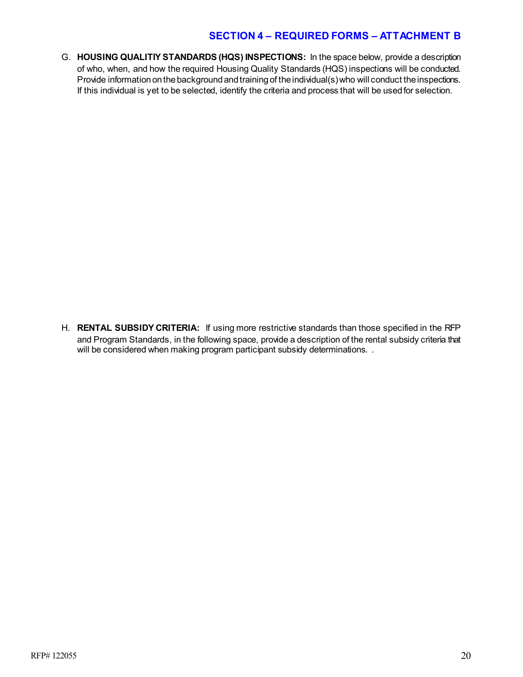G. **HOUSING QUALITIY STANDARDS (HQS) INSPECTIONS:** In the space below, provide a description of who, when, and how the required Housing Quality Standards (HQS) inspections will be conducted. Provide information on the background and training of the individual(s) who will conduct the inspections. If this individual is yet to be selected, identify the criteria and process that will be used for selection.

H. **RENTAL SUBSIDY CRITERIA:** If using more restrictive standards than those specified in the RFP and Program Standards, in the following space, provide a description of the rental subsidy criteria that will be considered when making program participant subsidy determinations. .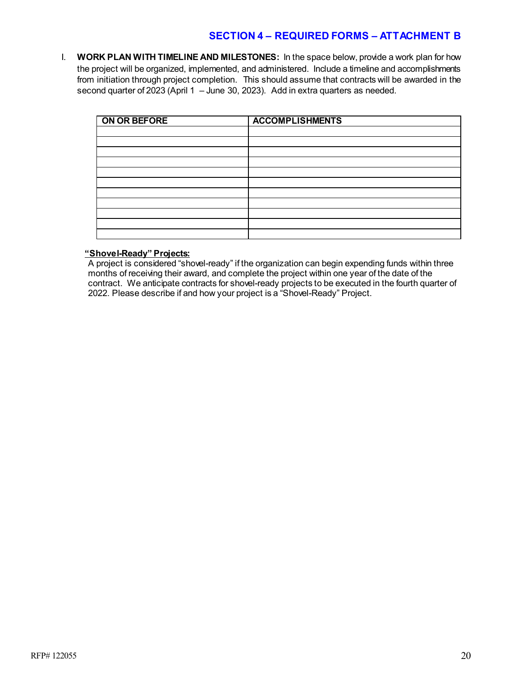I. **WORK PLAN WITH TIMELINE AND MILESTONES:** In the space below, provide a work plan for how the project will be organized, implemented, and administered. Include a timeline and accomplishments from initiation through project completion. This should assume that contracts will be awarded in the second quarter of 2023 (April 1 – June 30, 2023). Add in extra quarters as needed.

| ON OR BEFORE | <b>ACCOMPLISHMENTS</b> |
|--------------|------------------------|
|              |                        |
|              |                        |
|              |                        |
|              |                        |
|              |                        |
|              |                        |
|              |                        |
|              |                        |
|              |                        |
|              |                        |
|              |                        |

#### **"Shovel-Ready" Projects:**

A project is considered "shovel-ready" if the organization can begin expending funds within three months of receiving their award, and complete the project within one year of the date of the contract. We anticipate contracts for shovel-ready projects to be executed in the fourth quarter of 2022. Please describe if and how your project is a "Shovel-Ready" Project.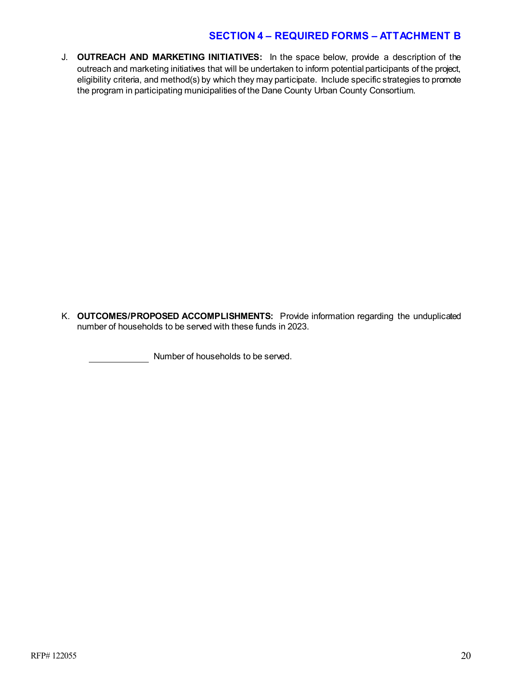J. **OUTREACH AND MARKETING INITIATIVES:** In the space below, provide a description of the outreach and marketing initiatives that will be undertaken to inform potential participants of the project, eligibility criteria, and method(s) by which they may participate. Include specific strategies to promote the program in participating municipalities of the Dane County Urban County Consortium.

K. **OUTCOMES/PROPOSED ACCOMPLISHMENTS:** Provide information regarding the unduplicated number of households to be served with these funds in 2023.

Number of households to be served.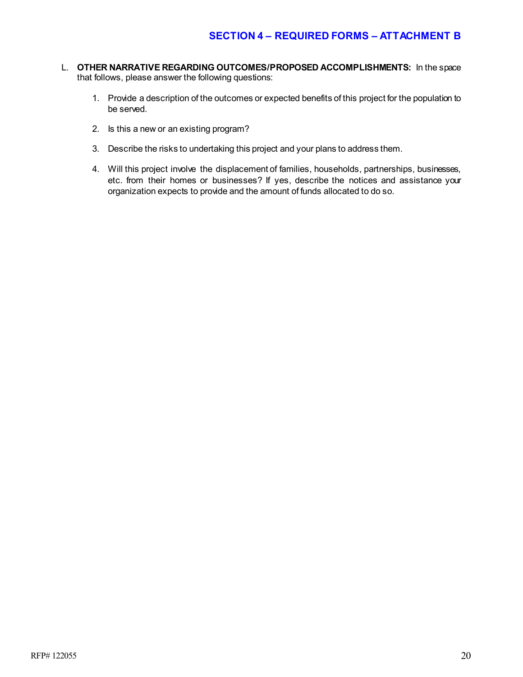- L. **OTHER NARRATIVE REGARDING OUTCOMES/PROPOSED ACCOMPLISHMENTS:** In the space that follows, please answer the following questions:
	- 1. Provide a description of the outcomes or expected benefits of this project for the population to be served.
	- 2. Is this a new or an existing program?
	- 3. Describe the risks to undertaking this project and your plans to address them.
	- 4. Will this project involve the displacement of families, households, partnerships, businesses, etc. from their homes or businesses? If yes, describe the notices and assistance your organization expects to provide and the amount of funds allocated to do so.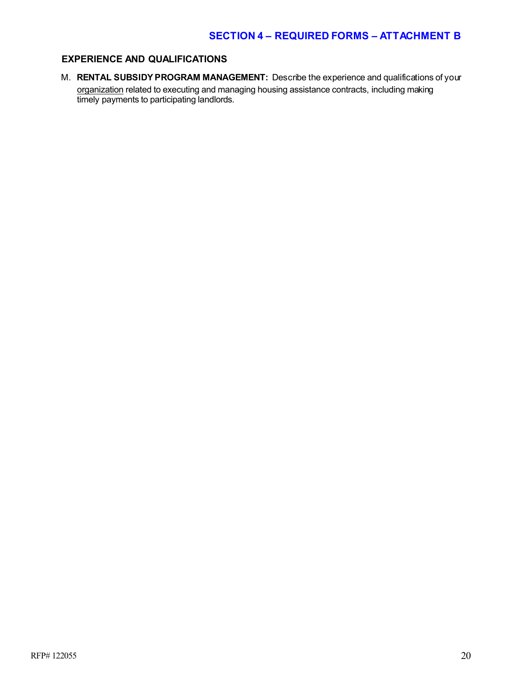### **EXPERIENCE AND QUALIFICATIONS**

M. **RENTAL SUBSIDY PROGRAM MANAGEMENT:** Describe the experience and qualifications of your <u>organization</u> related to executing and managing housing assistance contracts, including making timely payments to participating landlords.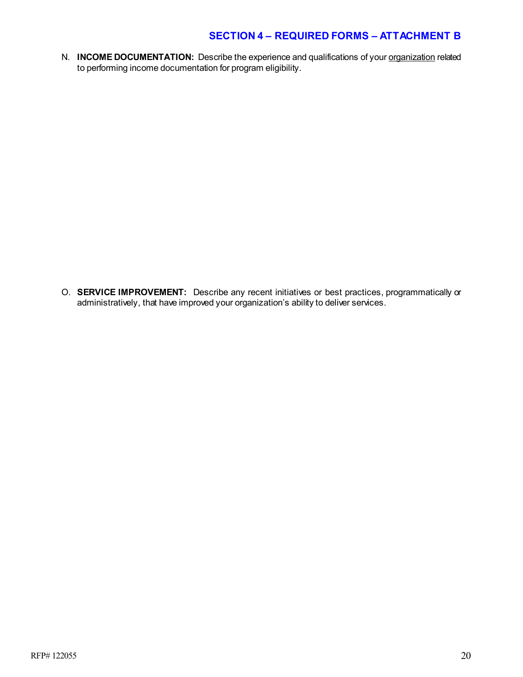N. **INCOME DOCUMENTATION:** Describe the experience and qualifications of your **organization** related to performing income documentation for program eligibility.

O. **SERVICE IMPROVEMENT:** Describe any recent initiatives or best practices, programmatically or administratively, that have improved your organization's ability to deliver services.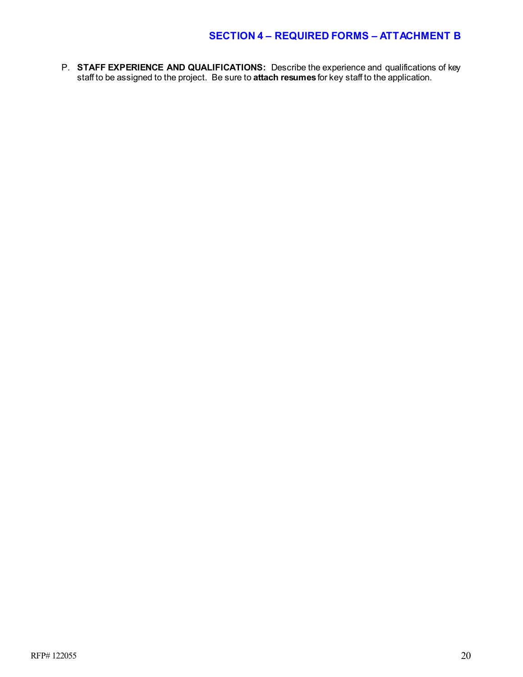P. **STAFF EXPERIENCE AND QUALIFICATIONS:** Describe the experience and qualifications of key staff to be assigned to the project. Be sure to **attach resumes** for key staff to the application.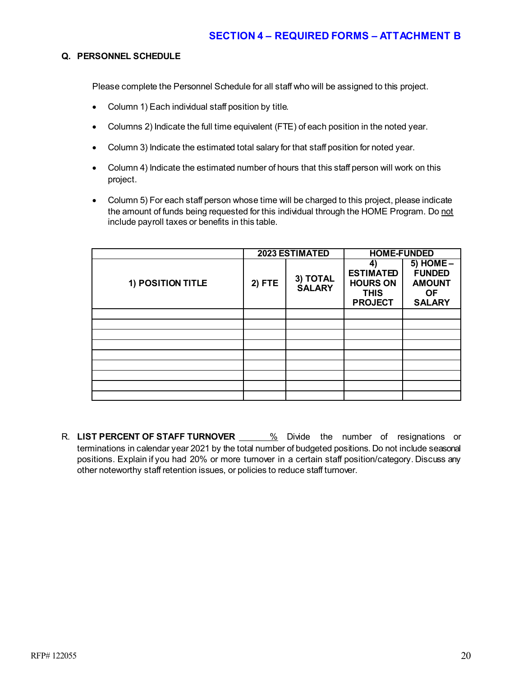#### **Q. PERSONNEL SCHEDULE**

Please complete the Personnel Schedule for all staff who will be assigned to this project.

- Column 1) Each individual staff position by title.
- Columns 2) Indicate the full time equivalent (FTE) of each position in the noted year.
- Column 3) Indicate the estimated total salary for that staff position for noted year.
- Column 4) Indicate the estimated number of hours that this staff person will work on this project.
- Column 5) For each staff person whose time will be charged to this project, please indicate the amount of funds being requested for this individual through the HOME Program. Do not include payroll taxes or benefits in this table.

|                   |        | 2023 ESTIMATED            | <b>HOME-FUNDED</b>                                                         |                                                                               |  |
|-------------------|--------|---------------------------|----------------------------------------------------------------------------|-------------------------------------------------------------------------------|--|
| 1) POSITION TITLE | 2) FTE | 3) TOTAL<br><b>SALARY</b> | 4)<br><b>ESTIMATED</b><br><b>HOURS ON</b><br><b>THIS</b><br><b>PROJECT</b> | $5)$ HOME $-$<br><b>FUNDED</b><br><b>AMOUNT</b><br><b>OF</b><br><b>SALARY</b> |  |
|                   |        |                           |                                                                            |                                                                               |  |
|                   |        |                           |                                                                            |                                                                               |  |
|                   |        |                           |                                                                            |                                                                               |  |
|                   |        |                           |                                                                            |                                                                               |  |
|                   |        |                           |                                                                            |                                                                               |  |
|                   |        |                           |                                                                            |                                                                               |  |
|                   |        |                           |                                                                            |                                                                               |  |
|                   |        |                           |                                                                            |                                                                               |  |
|                   |        |                           |                                                                            |                                                                               |  |

R. LIST PERCENT OF STAFF TURNOVER **6. 2008** Divide the number of resignations or terminations in calendar year 2021 by the total number of budgeted positions. Do not include seasonal positions. Explain if you had 20% or more turnover in a certain staff position/category. Discuss any other noteworthy staff retention issues, or policies to reduce staff turnover.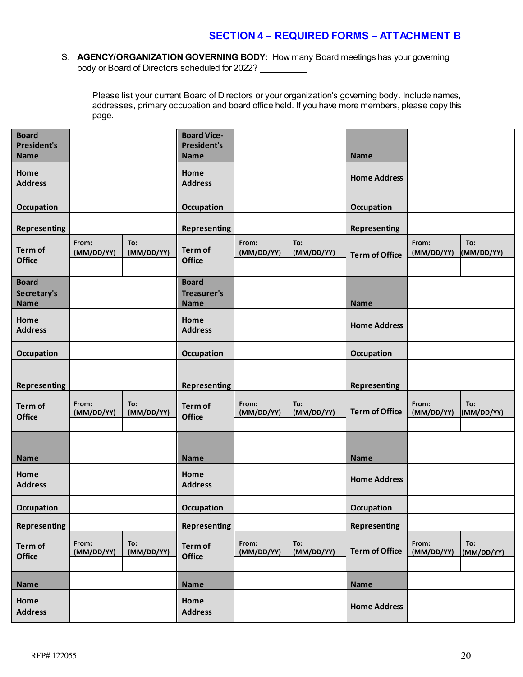S. **AGENCY/ORGANIZATION GOVERNING BODY:** How many Board meetings has your governing body or Board of Directors scheduled for 2022?

Please list your current Board of Directors or your organization's governing body. Include names, addresses, primary occupation and board office held. If you have more members, please copy this page.

| <b>Board</b><br><b>President's</b><br><b>Name</b> |                     |                   | <b>Board Vice-</b><br><b>President's</b><br><b>Name</b> |                     |                   | <b>Name</b>           |                     |                   |
|---------------------------------------------------|---------------------|-------------------|---------------------------------------------------------|---------------------|-------------------|-----------------------|---------------------|-------------------|
| Home<br><b>Address</b>                            |                     |                   | Home<br><b>Address</b>                                  |                     |                   | <b>Home Address</b>   |                     |                   |
| Occupation                                        |                     |                   | Occupation                                              |                     |                   | Occupation            |                     |                   |
| <b>Representing</b>                               |                     |                   | <b>Representing</b>                                     |                     |                   | <b>Representing</b>   |                     |                   |
| Term of<br><b>Office</b>                          | From:<br>(MM/DD/YY) | To:<br>(MM/DD/YY) | Term of<br><b>Office</b>                                | From:<br>(MM/DD/YY) | To:<br>(MM/DD/YY) | <b>Term of Office</b> | From:<br>(MM/DD/YY) | To:<br>(MM/DD/YY) |
| <b>Board</b><br>Secretary's<br><b>Name</b>        |                     |                   | <b>Board</b><br>Treasurer's<br><b>Name</b>              |                     |                   | <b>Name</b>           |                     |                   |
| Home<br><b>Address</b>                            |                     |                   | Home<br><b>Address</b>                                  |                     |                   | <b>Home Address</b>   |                     |                   |
| <b>Occupation</b>                                 |                     |                   | <b>Occupation</b>                                       |                     |                   | Occupation            |                     |                   |
| <b>Representing</b>                               |                     |                   | <b>Representing</b>                                     |                     |                   | <b>Representing</b>   |                     |                   |
| Term of<br><b>Office</b>                          | From:<br>(MM/DD/YY) | To:<br>(MM/DD/YY) | Term of<br><b>Office</b>                                | From:<br>(MM/DD/YY) | To:<br>(MM/DD/YY) | <b>Term of Office</b> | From:<br>(MM/DD/YY) | To:<br>(MM/DD/YY) |
| <b>Name</b>                                       |                     |                   | <b>Name</b>                                             |                     |                   | <b>Name</b>           |                     |                   |
| Home<br><b>Address</b>                            |                     |                   | Home<br><b>Address</b>                                  |                     |                   | <b>Home Address</b>   |                     |                   |
| <b>Occupation</b>                                 |                     |                   | <b>Occupation</b>                                       |                     |                   | Occupation            |                     |                   |
| <b>Representing</b>                               |                     |                   | <b>Representing</b>                                     |                     |                   | <b>Representing</b>   |                     |                   |
| Term of<br><b>Office</b>                          | From:<br>(MM/DD/YY) | To:<br>(MM/DD/YY) | Term of<br><b>Office</b>                                | From:<br>(MM/DD/YY) | To:<br>(MM/DD/YY) | <b>Term of Office</b> | From:<br>(MM/DD/YY) | To:<br>(MM/DD/YY) |
| Name                                              |                     |                   | <b>Name</b>                                             |                     |                   | <b>Name</b>           |                     |                   |
| Home<br><b>Address</b>                            |                     |                   | Home<br><b>Address</b>                                  |                     |                   | <b>Home Address</b>   |                     |                   |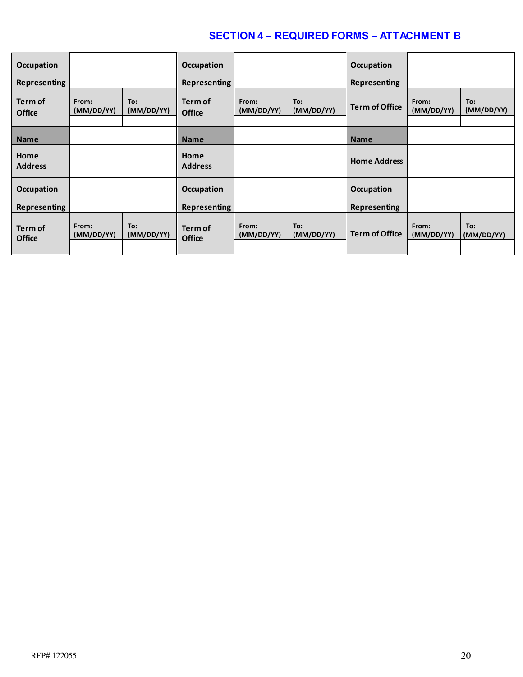| Occupation               |                     |                   | Occupation               |                     |                   | <b>Occupation</b>     |                     |                   |
|--------------------------|---------------------|-------------------|--------------------------|---------------------|-------------------|-----------------------|---------------------|-------------------|
| <b>Representing</b>      |                     |                   | <b>Representing</b>      |                     |                   | Representing          |                     |                   |
| Term of<br><b>Office</b> | From:<br>(MM/DD/YY) | To:<br>(MM/DD/YY) | Term of<br><b>Office</b> | From:<br>(MM/DD/YY) | To:<br>(MM/DD/YY) | <b>Term of Office</b> | From:<br>(MM/DD/YY) | To:<br>(MM/DD/YY) |
|                          |                     |                   |                          |                     |                   |                       |                     |                   |
| <b>Name</b>              |                     |                   | <b>Name</b>              |                     |                   | <b>Name</b>           |                     |                   |
| Home<br><b>Address</b>   |                     |                   | Home<br><b>Address</b>   |                     |                   | <b>Home Address</b>   |                     |                   |
| <b>Occupation</b>        |                     |                   | <b>Occupation</b>        |                     |                   | <b>Occupation</b>     |                     |                   |
| <b>Representing</b>      |                     |                   | <b>Representing</b>      |                     |                   | <b>Representing</b>   |                     |                   |
| Term of<br><b>Office</b> | From:<br>(MM/DD/YY) | To:<br>(MM/DD/YY) | Term of<br><b>Office</b> | From:<br>(MM/DD/YY) | To:<br>(MM/DD/YY) | <b>Term of Office</b> | From:<br>(MM/DD/YY) | To:<br>(MM/DD/YY) |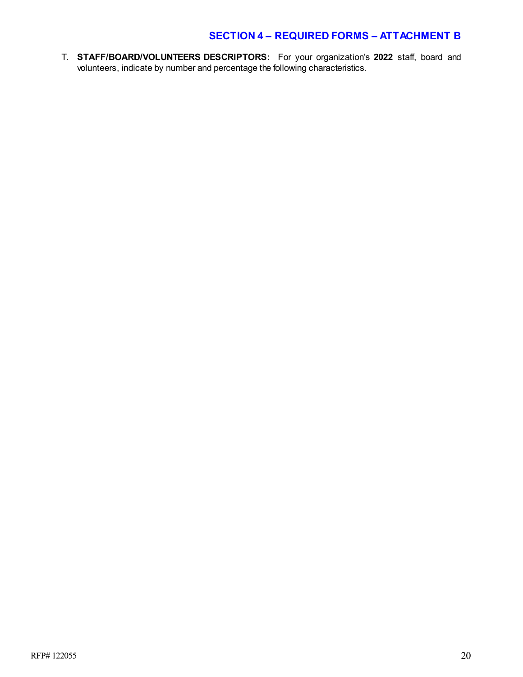T. **STAFF/BOARD/VOLUNTEERS DESCRIPTORS:** For your organization's **2022** staff, board and volunteers, indicate by number and percentage the following characteristics.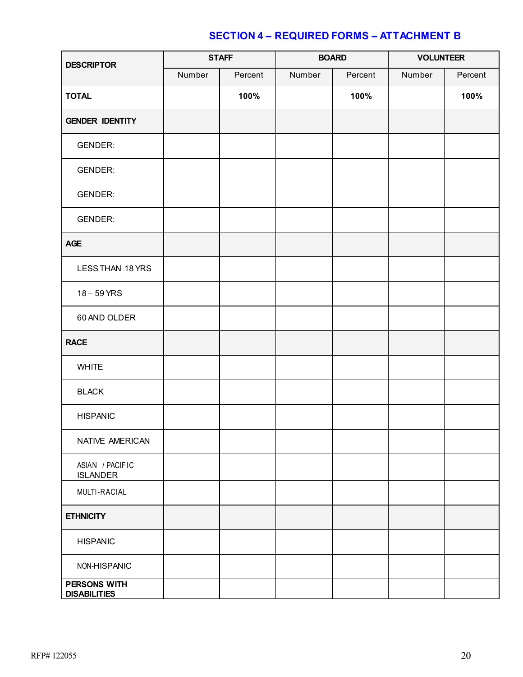| <b>DESCRIPTOR</b>                   | <b>STAFF</b> |         |        | <b>BOARD</b> | <b>VOLUNTEER</b> |         |
|-------------------------------------|--------------|---------|--------|--------------|------------------|---------|
|                                     | Number       | Percent | Number | Percent      | Number           | Percent |
| <b>TOTAL</b>                        |              | 100%    |        | 100%         |                  | 100%    |
| <b>GENDER IDENTITY</b>              |              |         |        |              |                  |         |
| <b>GENDER:</b>                      |              |         |        |              |                  |         |
| <b>GENDER:</b>                      |              |         |        |              |                  |         |
| <b>GENDER:</b>                      |              |         |        |              |                  |         |
| <b>GENDER:</b>                      |              |         |        |              |                  |         |
| <b>AGE</b>                          |              |         |        |              |                  |         |
| LESS THAN 18 YRS                    |              |         |        |              |                  |         |
| $18 - 59$ YRS                       |              |         |        |              |                  |         |
| 60 AND OLDER                        |              |         |        |              |                  |         |
| <b>RACE</b>                         |              |         |        |              |                  |         |
| <b>WHITE</b>                        |              |         |        |              |                  |         |
| <b>BLACK</b>                        |              |         |        |              |                  |         |
| <b>HISPANIC</b>                     |              |         |        |              |                  |         |
| NATIVE AMERICAN                     |              |         |        |              |                  |         |
| ASIAN / PACIFIC<br><b>ISLANDER</b>  |              |         |        |              |                  |         |
| MULTI-RACIAL                        |              |         |        |              |                  |         |
| <b>ETHNICITY</b>                    |              |         |        |              |                  |         |
| <b>HISPANIC</b>                     |              |         |        |              |                  |         |
| NON-HISPANIC                        |              |         |        |              |                  |         |
| PERSONS WITH<br><b>DISABILITIES</b> |              |         |        |              |                  |         |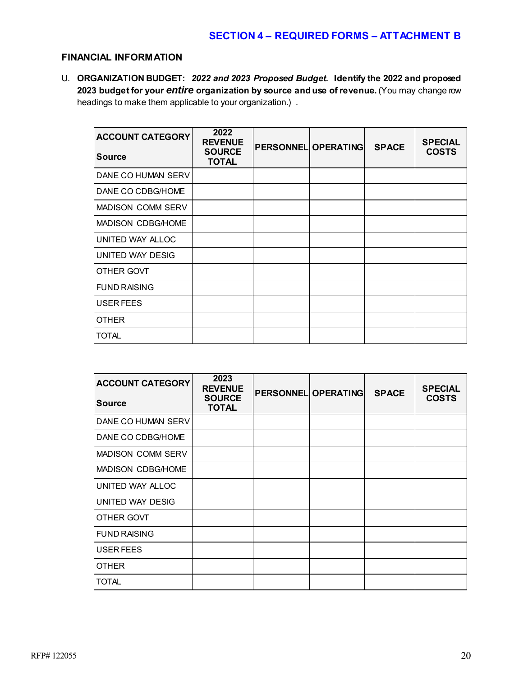### **FINANCIAL INFORMATION**

U. **ORGANIZATION BUDGET:** *2022 and 2023 Proposed Budget.* **Identify the 2022 and proposed 2023 budget for your** *entire* **organization by source and use of revenue.** (You may change row headings to make them applicable to your organization.) .

| <b>ACCOUNT CATEGORY</b>  | 2022<br><b>REVENUE</b>        | <b>PERSONNEL OPERATING</b> | <b>SPACE</b> | <b>SPECIAL</b> |
|--------------------------|-------------------------------|----------------------------|--------------|----------------|
| <b>Source</b>            | <b>SOURCE</b><br><b>TOTAL</b> |                            |              | <b>COSTS</b>   |
| DANE CO HUMAN SERV       |                               |                            |              |                |
| DANE CO CDBG/HOME        |                               |                            |              |                |
| <b>MADISON COMM SERV</b> |                               |                            |              |                |
| MADISON CDBG/HOME        |                               |                            |              |                |
| UNITED WAY ALLOC         |                               |                            |              |                |
| UNITED WAY DESIG         |                               |                            |              |                |
| OTHER GOVT               |                               |                            |              |                |
| <b>FUND RAISING</b>      |                               |                            |              |                |
| USER FEES                |                               |                            |              |                |
| <b>OTHER</b>             |                               |                            |              |                |
| <b>TOTAL</b>             |                               |                            |              |                |

| <b>ACCOUNT CATEGORY</b>  | 2023<br><b>REVENUE</b><br><b>SOURCE</b> | <b>PERSONNEL OPERATING</b> | <b>SPACE</b> | <b>SPECIAL</b><br><b>COSTS</b> |
|--------------------------|-----------------------------------------|----------------------------|--------------|--------------------------------|
| <b>Source</b>            | <b>TOTAL</b>                            |                            |              |                                |
| DANE CO HUMAN SERV       |                                         |                            |              |                                |
| DANE CO CDBG/HOME        |                                         |                            |              |                                |
| <b>MADISON COMM SERV</b> |                                         |                            |              |                                |
| MADISON CDBG/HOME        |                                         |                            |              |                                |
| UNITED WAY ALLOC         |                                         |                            |              |                                |
| UNITED WAY DESIG         |                                         |                            |              |                                |
| OTHER GOVT               |                                         |                            |              |                                |
| <b>FUND RAISING</b>      |                                         |                            |              |                                |
| USER FEES                |                                         |                            |              |                                |
| <b>OTHER</b>             |                                         |                            |              |                                |
| <b>TOTAL</b>             |                                         |                            |              |                                |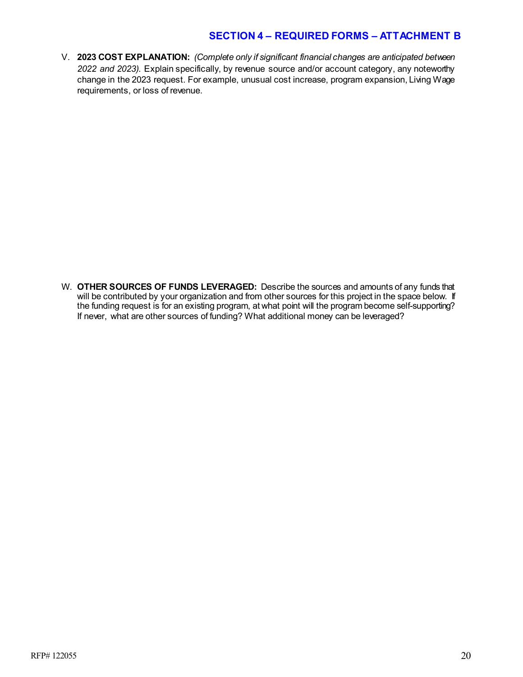V. **2023 COST EXPLANATION:** *(Complete only if significant financial changes are anticipated between 2022 and 2023).* Explain specifically, by revenue source and/or account category, any noteworthy change in the 2023 request. For example, unusual cost increase, program expansion, Living Wage requirements, or loss of revenue.

W. **OTHER SOURCES OF FUNDS LEVERAGED:** Describe the sources and amounts of any funds that will be contributed by your organization and from other sources for this project in the space below. If the funding request is for an existing program, at what point will the program become self-supporting? If never, what are other sources of funding? What additional money can be leveraged?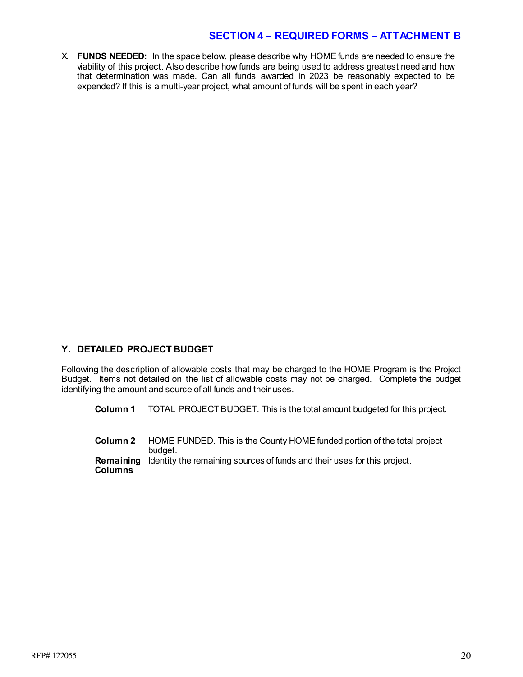X. **FUNDS NEEDED:** In the space below, please describe why HOME funds are needed to ensure the viability of this project. Also describe how funds are being used to address greatest need and how that determination was made. Can all funds awarded in 2023 be reasonably expected to be expended? If this is a multi-year project, what amount of funds will be spent in each year?

### **Y. DETAILED PROJECT BUDGET**

Following the description of allowable costs that may be charged to the HOME Program is the Project Budget. Items not detailed on the list of allowable costs may not be charged. Complete the budget identifying the amount and source of all funds and their uses.

**Column 1** TOTAL PROJECT BUDGET. This is the total amount budgeted for this project.

**Column 2** HOME FUNDED. This is the County HOME funded portion of the total project budget. **Remaining**  Identity the remaining sources of funds and their uses for this project.**Columns**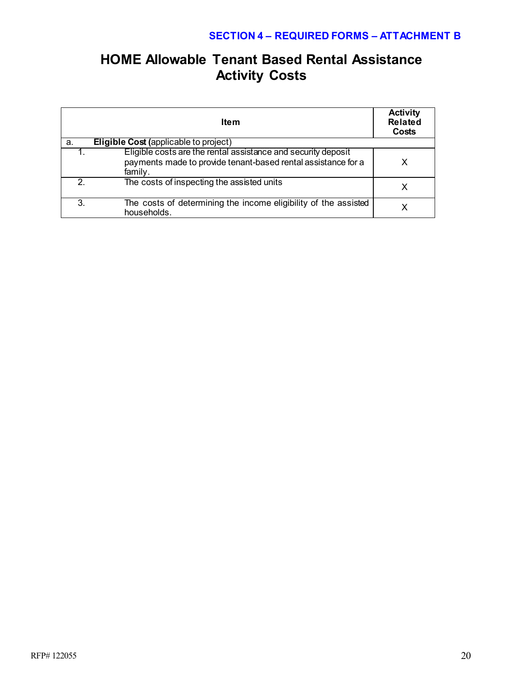# **HOME Allowable Tenant Based Rental Assistance Activity Costs**

|               | Item                                                                                                                                      | <b>Activity</b><br><b>Related</b><br>Costs |
|---------------|-------------------------------------------------------------------------------------------------------------------------------------------|--------------------------------------------|
| a.            | <b>Eligible Cost (applicable to project)</b>                                                                                              |                                            |
|               | Eligible costs are the rental assistance and security deposit<br>payments made to provide tenant-based rental assistance for a<br>family. |                                            |
| $\mathcal{P}$ | The costs of inspecting the assisted units                                                                                                |                                            |
| 3.            | The costs of determining the income eligibility of the assisted<br>households.                                                            |                                            |